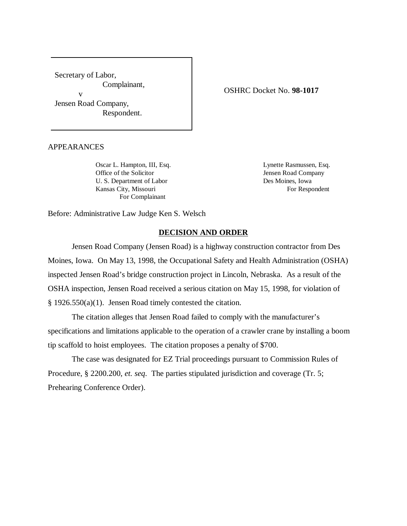Secretary of Labor, Complainant, v Jensen Road Company, Respondent.

OSHRC Docket No. **98-1017**

APPEARANCES

Oscar L. Hampton, III, Esq. Lynette Rasmussen, Esq. Office of the Solicitor Jensen Road Company U. S. Department of Labor Des Moines, Iowa Kansas City, Missouri For Respondent For Complainant

Before: Administrative Law Judge Ken S. Welsch

## **DECISION AND ORDER**

Jensen Road Company (Jensen Road) is a highway construction contractor from Des Moines, Iowa. On May 13, 1998, the Occupational Safety and Health Administration (OSHA) inspected Jensen Road's bridge construction project in Lincoln, Nebraska. As a result of the OSHA inspection, Jensen Road received a serious citation on May 15, 1998, for violation of § 1926.550(a)(1). Jensen Road timely contested the citation.

The citation alleges that Jensen Road failed to comply with the manufacturer's specifications and limitations applicable to the operation of a crawler crane by installing a boom tip scaffold to hoist employees. The citation proposes a penalty of \$700.

The case was designated for EZ Trial proceedings pursuant to Commission Rules of Procedure, § 2200.200, *et. seq*. The parties stipulated jurisdiction and coverage (Tr. 5; Prehearing Conference Order).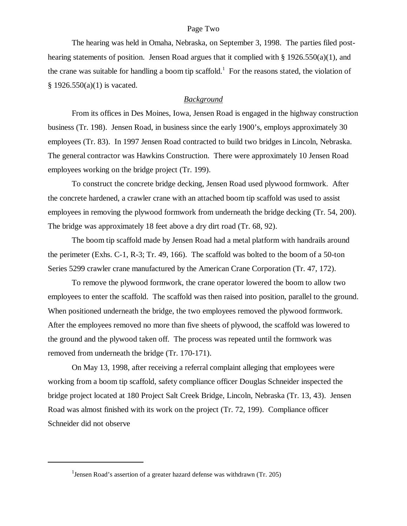### Page Two

The hearing was held in Omaha, Nebraska, on September 3, 1998. The parties filed posthearing statements of position. Jensen Road argues that it complied with  $\S$  1926.550(a)(1), and the crane was suitable for handling a boom tip scaffold.<sup>1</sup> For the reasons stated, the violation of  $§ 1926.550(a)(1)$  is vacated.

### *Background*

From its offices in Des Moines, Iowa, Jensen Road is engaged in the highway construction business (Tr. 198). Jensen Road, in business since the early 1900's, employs approximately 30 employees (Tr. 83). In 1997 Jensen Road contracted to build two bridges in Lincoln, Nebraska. The general contractor was Hawkins Construction. There were approximately 10 Jensen Road employees working on the bridge project (Tr. 199).

To construct the concrete bridge decking, Jensen Road used plywood formwork. After the concrete hardened, a crawler crane with an attached boom tip scaffold was used to assist employees in removing the plywood formwork from underneath the bridge decking (Tr. 54, 200). The bridge was approximately 18 feet above a dry dirt road (Tr. 68, 92).

The boom tip scaffold made by Jensen Road had a metal platform with handrails around the perimeter (Exhs. C-1, R-3; Tr. 49, 166). The scaffold was bolted to the boom of a 50-ton Series 5299 crawler crane manufactured by the American Crane Corporation (Tr. 47, 172).

To remove the plywood formwork, the crane operator lowered the boom to allow two employees to enter the scaffold. The scaffold was then raised into position, parallel to the ground. When positioned underneath the bridge, the two employees removed the plywood formwork. After the employees removed no more than five sheets of plywood, the scaffold was lowered to the ground and the plywood taken off. The process was repeated until the formwork was removed from underneath the bridge (Tr. 170-171).

On May 13, 1998, after receiving a referral complaint alleging that employees were working from a boom tip scaffold, safety compliance officer Douglas Schneider inspected the bridge project located at 180 Project Salt Creek Bridge, Lincoln, Nebraska (Tr. 13, 43). Jensen Road was almost finished with its work on the project (Tr. 72, 199). Compliance officer Schneider did not observe

<sup>&</sup>lt;sup>1</sup> Jensen Road's assertion of a greater hazard defense was withdrawn (Tr. 205)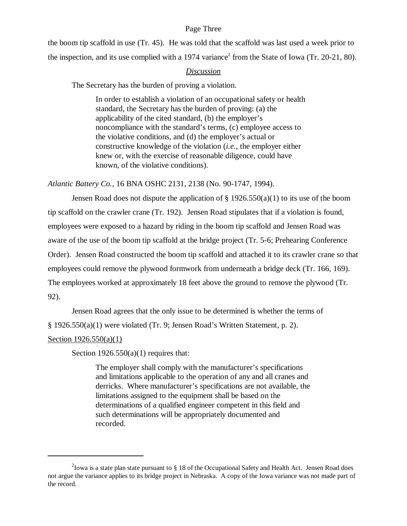## Page Three

the boom tip scaffold in use (Tr. 45). He was told that the scaffold was last used a week prior to the inspection, and its use complied with a 1974 variance<sup>2</sup> from the State of Iowa (Tr. 20-21, 80).

# *Discussion*

The Secretary has the burden of proving a violation.

In order to establish a violation of an occupational safety or health standard, the Secretary has the burden of proving: (a) the applicability of the cited standard, (b) the employer's noncompliance with the standard's terms, (c) employee access to the violative conditions, and (d) the employer's actual or constructive knowledge of the violation (*i.e.,* the employer either knew or, with the exercise of reasonable diligence, could have known, of the violative conditions).

*Atlantic Battery Co.,* 16 BNA OSHC 2131, 2138 (No. 90-1747, 1994).

Jensen Road does not dispute the application of  $\S 1926.550(a)(1)$  to its use of the boom tip scaffold on the crawler crane (Tr. 192). Jensen Road stipulates that if a violation is found, employees were exposed to a hazard by riding in the boom tip scaffold and Jensen Road was aware of the use of the boom tip scaffold at the bridge project (Tr. 5-6; Prehearing Conference Order). Jensen Road constructed the boom tip scaffold and attached it to its crawler crane so that employees could remove the plywood formwork from underneath a bridge deck (Tr. 166, 169). The employees worked at approximately 18 feet above the ground to remove the plywood (Tr. 92).

Jensen Road agrees that the only issue to be determined is whether the terms of

§ 1926.550(a)(1) were violated (Tr. 9; Jensen Road's Written Statement, p. 2).

## Section 1926.550(a)(1)

Section  $1926.550(a)(1)$  requires that:

The employer shall comply with the manufacturer's specifications and limitations applicable to the operation of any and all cranes and derricks. Where manufacturer's specifications are not available, the limitations assigned to the equipment shall be based on the determinations of a qualified engineer competent in this field and such determinations will be appropriately documented and recorded.

<sup>&</sup>lt;sup>2</sup>Iowa is a state plan state pursuant to § 18 of the Occupational Safety and Health Act. Jensen Road does not argue the variance applies to its bridge project in Nebraska. A copy of the Iowa variance was not made part of the record.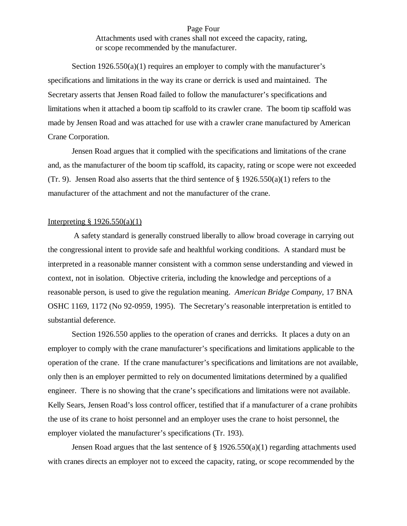## Page Four

Attachments used with cranes shall not exceed the capacity, rating, or scope recommended by the manufacturer.

Section  $1926.550(a)(1)$  requires an employer to comply with the manufacturer's specifications and limitations in the way its crane or derrick is used and maintained. The Secretary asserts that Jensen Road failed to follow the manufacturer's specifications and limitations when it attached a boom tip scaffold to its crawler crane. The boom tip scaffold was made by Jensen Road and was attached for use with a crawler crane manufactured by American Crane Corporation.

Jensen Road argues that it complied with the specifications and limitations of the crane and, as the manufacturer of the boom tip scaffold, its capacity, rating or scope were not exceeded (Tr. 9). Jensen Road also asserts that the third sentence of  $\S 1926.550(a)(1)$  refers to the manufacturer of the attachment and not the manufacturer of the crane.

#### Interpreting  $\S 1926.550(a)(1)$

 A safety standard is generally construed liberally to allow broad coverage in carrying out the congressional intent to provide safe and healthful working conditions. A standard must be interpreted in a reasonable manner consistent with a common sense understanding and viewed in context, not in isolation. Objective criteria, including the knowledge and perceptions of a reasonable person, is used to give the regulation meaning. *American Bridge Company,* 17 BNA OSHC 1169, 1172 (No 92-0959, 1995). The Secretary's reasonable interpretation is entitled to substantial deference.

Section 1926.550 applies to the operation of cranes and derricks. It places a duty on an employer to comply with the crane manufacturer's specifications and limitations applicable to the operation of the crane. If the crane manufacturer's specifications and limitations are not available, only then is an employer permitted to rely on documented limitations determined by a qualified engineer. There is no showing that the crane's specifications and limitations were not available. Kelly Sears, Jensen Road's loss control officer, testified that if a manufacturer of a crane prohibits the use of its crane to hoist personnel and an employer uses the crane to hoist personnel, the employer violated the manufacturer's specifications (Tr. 193).

Jensen Road argues that the last sentence of § 1926.550(a)(1) regarding attachments used with cranes directs an employer not to exceed the capacity, rating, or scope recommended by the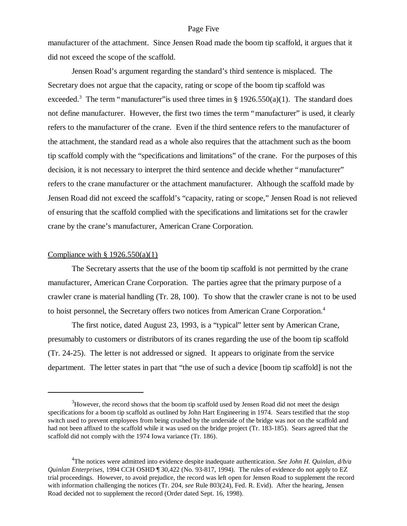#### Page Five

manufacturer of the attachment. Since Jensen Road made the boom tip scaffold, it argues that it did not exceed the scope of the scaffold.

Jensen Road's argument regarding the standard's third sentence is misplaced. The Secretary does not argue that the capacity, rating or scope of the boom tip scaffold was exceeded.<sup>3</sup> The term "manufacturer" is used three times in § 1926.550(a)(1). The standard does not define manufacturer. However, the first two times the term "manufacturer" is used, it clearly refers to the manufacturer of the crane. Even if the third sentence refers to the manufacturer of the attachment, the standard read as a whole also requires that the attachment such as the boom tip scaffold comply with the "specifications and limitations" of the crane. For the purposes of this decision, it is not necessary to interpret the third sentence and decide whether "manufacturer" refers to the crane manufacturer or the attachment manufacturer. Although the scaffold made by Jensen Road did not exceed the scaffold's "capacity, rating or scope," Jensen Road is not relieved of ensuring that the scaffold complied with the specifications and limitations set for the crawler crane by the crane's manufacturer, American Crane Corporation.

#### Compliance with  $§ 1926.550(a)(1)$

The Secretary asserts that the use of the boom tip scaffold is not permitted by the crane manufacturer, American Crane Corporation. The parties agree that the primary purpose of a crawler crane is material handling (Tr. 28, 100). To show that the crawler crane is not to be used to hoist personnel, the Secretary offers two notices from American Crane Corporation.<sup>4</sup>

The first notice, dated August 23, 1993, is a "typical" letter sent by American Crane, presumably to customers or distributors of its cranes regarding the use of the boom tip scaffold (Tr. 24-25). The letter is not addressed or signed. It appears to originate from the service department. The letter states in part that "the use of such a device [boom tip scaffold] is not the

 $3H_3$  However, the record shows that the boom tip scaffold used by Jensen Road did not meet the design specifications for a boom tip scaffold as outlined by John Hart Engineering in 1974. Sears testified that the stop switch used to prevent employees from being crushed by the underside of the bridge was not on the scaffold and had not been affixed to the scaffold while it was used on the bridge project (Tr. 183-185). Sears agreed that the scaffold did not comply with the 1974 Iowa variance (Tr. 186).

<sup>4</sup> The notices were admitted into evidence despite inadequate authentication. *See John H. Quinlan, d/b/a Quinlan Enterprises,* 1994 CCH OSHD ¶ 30,422 (No. 93-817, 1994). The rules of evidence do not apply to EZ trial proceedings. However, to avoid prejudice, the record was left open for Jensen Road to supplement the record with information challenging the notices (Tr. 204, *see* Rule 803(24), Fed. R. Evid). After the hearing, Jensen Road decided not to supplement the record (Order dated Sept. 16, 1998).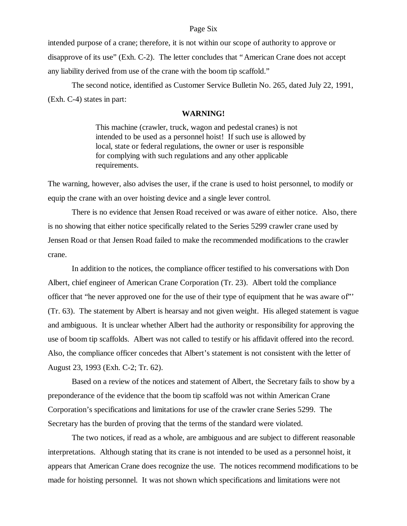### Page Six

intended purpose of a crane; therefore, it is not within our scope of authority to approve or disapprove of its use" (Exh. C-2). The letter concludes that "American Crane does not accept any liability derived from use of the crane with the boom tip scaffold."

The second notice, identified as Customer Service Bulletin No. 265, dated July 22, 1991, (Exh. C-4) states in part:

#### **WARNING!**

This machine (crawler, truck, wagon and pedestal cranes) is not intended to be used as a personnel hoist! If such use is allowed by local, state or federal regulations, the owner or user is responsible for complying with such regulations and any other applicable requirements.

The warning, however, also advises the user, if the crane is used to hoist personnel, to modify or equip the crane with an over hoisting device and a single lever control.

There is no evidence that Jensen Road received or was aware of either notice. Also, there is no showing that either notice specifically related to the Series 5299 crawler crane used by Jensen Road or that Jensen Road failed to make the recommended modifications to the crawler crane.

In addition to the notices, the compliance officer testified to his conversations with Don Albert, chief engineer of American Crane Corporation (Tr. 23). Albert told the compliance officer that "he never approved one for the use of their type of equipment that he was aware of"' (Tr. 63). The statement by Albert is hearsay and not given weight. His alleged statement is vague and ambiguous. It is unclear whether Albert had the authority or responsibility for approving the use of boom tip scaffolds. Albert was not called to testify or his affidavit offered into the record. Also, the compliance officer concedes that Albert's statement is not consistent with the letter of August 23, 1993 (Exh. C-2; Tr. 62).

Based on a review of the notices and statement of Albert, the Secretary fails to show by a preponderance of the evidence that the boom tip scaffold was not within American Crane Corporation's specifications and limitations for use of the crawler crane Series 5299. The Secretary has the burden of proving that the terms of the standard were violated.

The two notices, if read as a whole, are ambiguous and are subject to different reasonable interpretations. Although stating that its crane is not intended to be used as a personnel hoist, it appears that American Crane does recognize the use. The notices recommend modifications to be made for hoisting personnel. It was not shown which specifications and limitations were not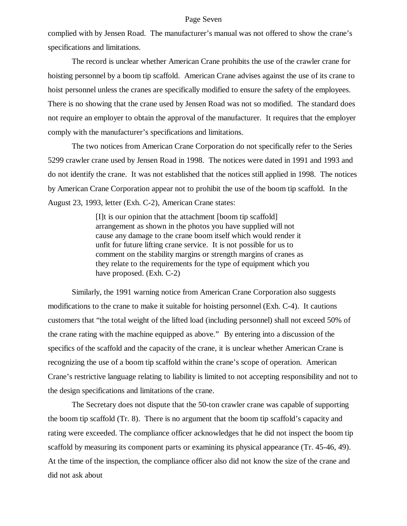#### Page Seven

complied with by Jensen Road. The manufacturer's manual was not offered to show the crane's specifications and limitations.

The record is unclear whether American Crane prohibits the use of the crawler crane for hoisting personnel by a boom tip scaffold. American Crane advises against the use of its crane to hoist personnel unless the cranes are specifically modified to ensure the safety of the employees. There is no showing that the crane used by Jensen Road was not so modified. The standard does not require an employer to obtain the approval of the manufacturer. It requires that the employer comply with the manufacturer's specifications and limitations.

The two notices from American Crane Corporation do not specifically refer to the Series 5299 crawler crane used by Jensen Road in 1998. The notices were dated in 1991 and 1993 and do not identify the crane. It was not established that the notices still applied in 1998. The notices by American Crane Corporation appear not to prohibit the use of the boom tip scaffold. In the August 23, 1993, letter (Exh. C-2), American Crane states:

> [I]t is our opinion that the attachment [boom tip scaffold] arrangement as shown in the photos you have supplied will not cause any damage to the crane boom itself which would render it unfit for future lifting crane service. It is not possible for us to comment on the stability margins or strength margins of cranes as they relate to the requirements for the type of equipment which you have proposed. (Exh. C-2)

Similarly, the 1991 warning notice from American Crane Corporation also suggests modifications to the crane to make it suitable for hoisting personnel (Exh. C-4). It cautions customers that "the total weight of the lifted load (including personnel) shall not exceed 50% of the crane rating with the machine equipped as above." By entering into a discussion of the specifics of the scaffold and the capacity of the crane, it is unclear whether American Crane is recognizing the use of a boom tip scaffold within the crane's scope of operation. American Crane's restrictive language relating to liability is limited to not accepting responsibility and not to the design specifications and limitations of the crane.

The Secretary does not dispute that the 50-ton crawler crane was capable of supporting the boom tip scaffold (Tr. 8). There is no argument that the boom tip scaffold's capacity and rating were exceeded. The compliance officer acknowledges that he did not inspect the boom tip scaffold by measuring its component parts or examining its physical appearance (Tr. 45-46, 49). At the time of the inspection, the compliance officer also did not know the size of the crane and did not ask about